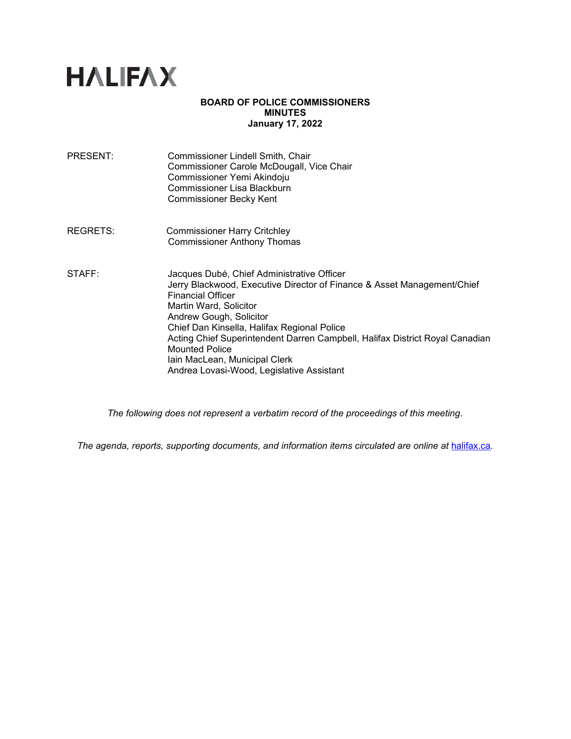# **HALIFAX**

#### **BOARD OF POLICE COMMISSIONERS MINUTES January 17, 2022**

- PRESENT: Commissioner Lindell Smith, Chair Commissioner Carole McDougall, Vice Chair Commissioner Yemi Akindoju Commissioner Lisa Blackburn Commissioner Becky Kent
- REGRETS: Commissioner Harry Critchley Commissioner Anthony Thomas
- STAFF: Jacques Dubé, Chief Administrative Officer Jerry Blackwood, Executive Director of Finance & Asset Management/Chief Financial Officer Martin Ward, Solicitor Andrew Gough, Solicitor Chief Dan Kinsella, Halifax Regional Police Acting Chief Superintendent Darren Campbell, Halifax District Royal Canadian Mounted Police Iain MacLean, Municipal Clerk Andrea Lovasi-Wood, Legislative Assistant

*The following does not represent a verbatim record of the proceedings of this meeting.*

The agenda, reports, supporting documents, and information items circulated are online at [halifax.ca](http://www.halifax.ca/).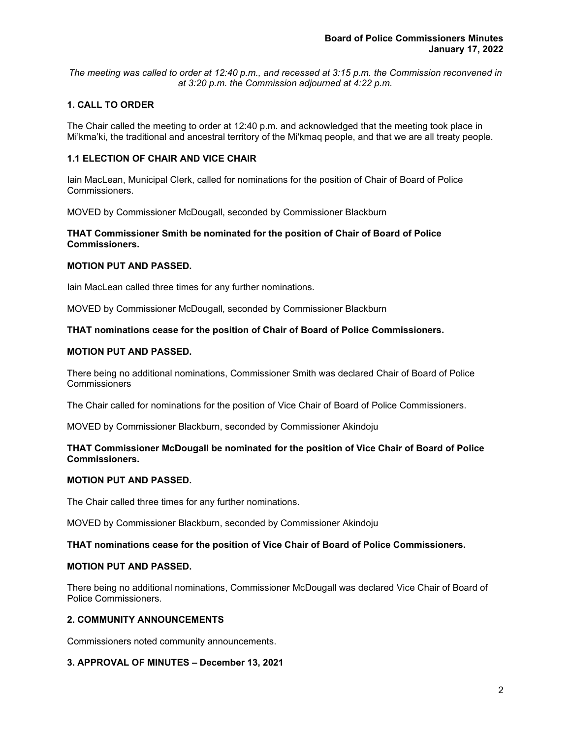*The meeting was called to order at 12:40 p.m., and recessed at 3:15 p.m. the Commission reconvened in at 3:20 p.m. the Commission adjourned at 4:22 p.m.*

# **1. CALL TO ORDER**

The Chair called the meeting to order at 12:40 p.m. and acknowledged that the meeting took place in Mi'kma'ki, the traditional and ancestral territory of the Mi'kmaq people, and that we are all treaty people.

## **1.1 ELECTION OF CHAIR AND VICE CHAIR**

Iain MacLean, Municipal Clerk, called for nominations for the position of Chair of Board of Police Commissioners.

MOVED by Commissioner McDougall, seconded by Commissioner Blackburn

## **THAT Commissioner Smith be nominated for the position of Chair of Board of Police Commissioners.**

## **MOTION PUT AND PASSED.**

Iain MacLean called three times for any further nominations.

MOVED by Commissioner McDougall, seconded by Commissioner Blackburn

## **THAT nominations cease for the position of Chair of Board of Police Commissioners.**

## **MOTION PUT AND PASSED.**

There being no additional nominations, Commissioner Smith was declared Chair of Board of Police **Commissioners** 

The Chair called for nominations for the position of Vice Chair of Board of Police Commissioners.

MOVED by Commissioner Blackburn, seconded by Commissioner Akindoju

## **THAT Commissioner McDougall be nominated for the position of Vice Chair of Board of Police Commissioners.**

#### **MOTION PUT AND PASSED.**

The Chair called three times for any further nominations.

MOVED by Commissioner Blackburn, seconded by Commissioner Akindoju

#### **THAT nominations cease for the position of Vice Chair of Board of Police Commissioners.**

#### **MOTION PUT AND PASSED.**

There being no additional nominations, Commissioner McDougall was declared Vice Chair of Board of Police Commissioners.

#### **2. COMMUNITY ANNOUNCEMENTS**

Commissioners noted community announcements.

#### **3. APPROVAL OF MINUTES – December 13, 2021**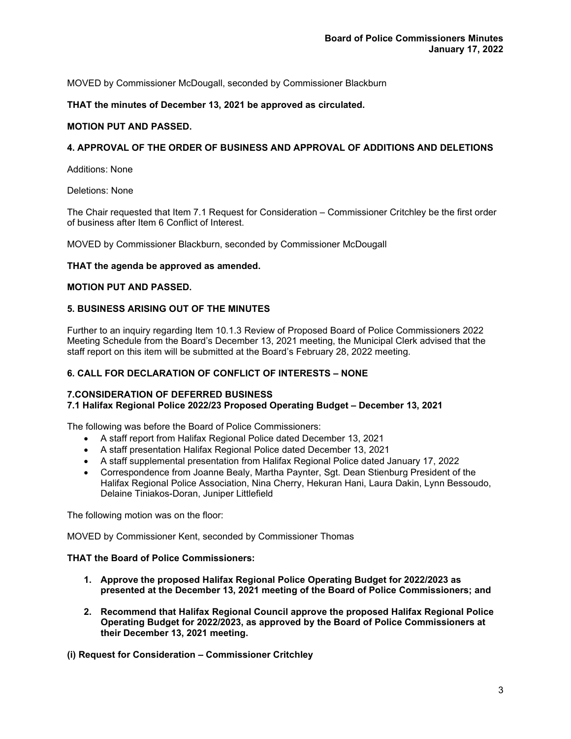MOVED by Commissioner McDougall, seconded by Commissioner Blackburn

## **THAT the minutes of December 13, 2021 be approved as circulated.**

## **MOTION PUT AND PASSED.**

#### **4. APPROVAL OF THE ORDER OF BUSINESS AND APPROVAL OF ADDITIONS AND DELETIONS**

Additions: None

Deletions: None

The Chair requested that Item 7.1 Request for Consideration – Commissioner Critchley be the first order of business after Item 6 Conflict of Interest.

MOVED by Commissioner Blackburn, seconded by Commissioner McDougall

#### **THAT the agenda be approved as amended.**

#### **MOTION PUT AND PASSED.**

#### **5. BUSINESS ARISING OUT OF THE MINUTES**

Further to an inquiry regarding Item 10.1.3 Review of Proposed Board of Police Commissioners 2022 Meeting Schedule from the Board's December 13, 2021 meeting, the Municipal Clerk advised that the staff report on this item will be submitted at the Board's February 28, 2022 meeting.

#### **6. CALL FOR DECLARATION OF CONFLICT OF INTERESTS – NONE**

#### **7.CONSIDERATION OF DEFERRED BUSINESS**

#### **7.1 Halifax Regional Police 2022/23 Proposed Operating Budget – December 13, 2021**

The following was before the Board of Police Commissioners:

- A staff report from Halifax Regional Police dated December 13, 2021
- A staff presentation Halifax Regional Police dated December 13, 2021
- A staff supplemental presentation from Halifax Regional Police dated January 17, 2022
- Correspondence from Joanne Bealy, Martha Paynter, Sgt. Dean Stienburg President of the Halifax Regional Police Association, Nina Cherry, Hekuran Hani, Laura Dakin, Lynn Bessoudo, Delaine Tiniakos-Doran, Juniper Littlefield

The following motion was on the floor:

MOVED by Commissioner Kent, seconded by Commissioner Thomas

#### **THAT the Board of Police Commissioners:**

- **1. Approve the proposed Halifax Regional Police Operating Budget for 2022/2023 as presented at the December 13, 2021 meeting of the Board of Police Commissioners; and**
- **2. Recommend that Halifax Regional Council approve the proposed Halifax Regional Police Operating Budget for 2022/2023, as approved by the Board of Police Commissioners at their December 13, 2021 meeting.**

**(i) Request for Consideration – Commissioner Critchley**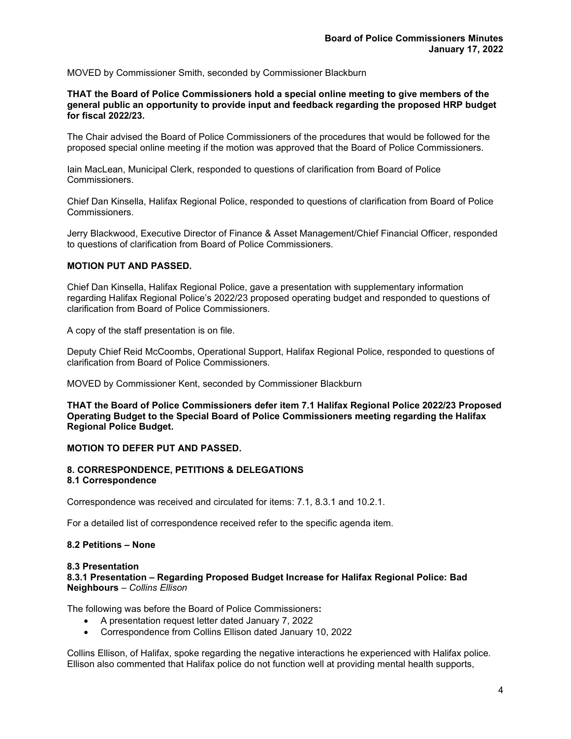MOVED by Commissioner Smith, seconded by Commissioner Blackburn

**THAT the Board of Police Commissioners hold a special online meeting to give members of the general public an opportunity to provide input and feedback regarding the proposed HRP budget for fiscal 2022/23.**

The Chair advised the Board of Police Commissioners of the procedures that would be followed for the proposed special online meeting if the motion was approved that the Board of Police Commissioners.

Iain MacLean, Municipal Clerk, responded to questions of clarification from Board of Police Commissioners.

Chief Dan Kinsella, Halifax Regional Police, responded to questions of clarification from Board of Police Commissioners.

Jerry Blackwood, Executive Director of Finance & Asset Management/Chief Financial Officer, responded to questions of clarification from Board of Police Commissioners.

#### **MOTION PUT AND PASSED.**

Chief Dan Kinsella, Halifax Regional Police, gave a presentation with supplementary information regarding Halifax Regional Police's 2022/23 proposed operating budget and responded to questions of clarification from Board of Police Commissioners*.*

A copy of the staff presentation is on file.

Deputy Chief Reid McCoombs, Operational Support, Halifax Regional Police, responded to questions of clarification from Board of Police Commissioners*.*

MOVED by Commissioner Kent, seconded by Commissioner Blackburn

**THAT the Board of Police Commissioners defer item 7.1 Halifax Regional Police 2022/23 Proposed Operating Budget to the Special Board of Police Commissioners meeting regarding the Halifax Regional Police Budget.**

#### **MOTION TO DEFER PUT AND PASSED.**

#### **8. CORRESPONDENCE, PETITIONS & DELEGATIONS 8.1 Correspondence**

Correspondence was received and circulated for items: 7.1, 8.3.1 and 10.2.1.

For a detailed list of correspondence received refer to the specific agenda item.

#### **8.2 Petitions – None**

#### **8.3 Presentation**

**8.3.1 Presentation – Regarding Proposed Budget Increase for Halifax Regional Police: Bad Neighbours** – *Collins Ellison*

The following was before the Board of Police Commissioners**:**

- A presentation request letter dated January 7, 2022
- Correspondence from Collins Ellison dated January 10, 2022

Collins Ellison, of Halifax, spoke regarding the negative interactions he experienced with Halifax police. Ellison also commented that Halifax police do not function well at providing mental health supports,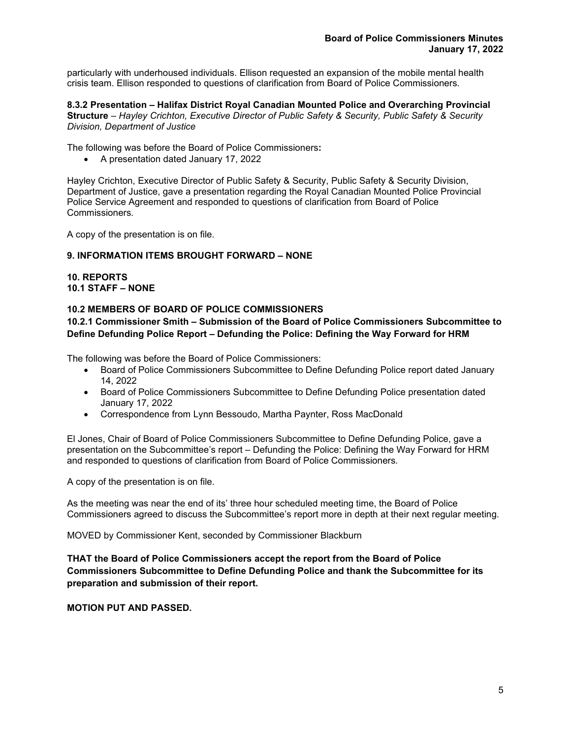particularly with underhoused individuals. Ellison requested an expansion of the mobile mental health crisis team. Ellison responded to questions of clarification from Board of Police Commissioners*.*

**8.3.2 Presentation – Halifax District Royal Canadian Mounted Police and Overarching Provincial Structure** – *Hayley Crichton, Executive Director of Public Safety & Security, Public Safety & Security Division, Department of Justice*

The following was before the Board of Police Commissioners**:**

• A presentation dated January 17, 2022

Hayley Crichton, Executive Director of Public Safety & Security, Public Safety & Security Division, Department of Justice, gave a presentation regarding the Royal Canadian Mounted Police Provincial Police Service Agreement and responded to questions of clarification from Board of Police Commissioners*.*

A copy of the presentation is on file.

## **9. INFORMATION ITEMS BROUGHT FORWARD – NONE**

## **10. REPORTS 10.1 STAFF – NONE**

## **10.2 MEMBERS OF BOARD OF POLICE COMMISSIONERS**

# **10.2.1 Commissioner Smith – Submission of the Board of Police Commissioners Subcommittee to Define Defunding Police Report – Defunding the Police: Defining the Way Forward for HRM**

The following was before the Board of Police Commissioners:

- Board of Police Commissioners Subcommittee to Define Defunding Police report dated January 14, 2022
- Board of Police Commissioners Subcommittee to Define Defunding Police presentation dated January 17, 2022
- Correspondence from Lynn Bessoudo, Martha Paynter, Ross MacDonald

El Jones, Chair of Board of Police Commissioners Subcommittee to Define Defunding Police, gave a presentation on the Subcommittee's report – Defunding the Police: Defining the Way Forward for HRM and responded to questions of clarification from Board of Police Commissioners*.*

A copy of the presentation is on file.

As the meeting was near the end of its' three hour scheduled meeting time, the Board of Police Commissioners agreed to discuss the Subcommittee's report more in depth at their next regular meeting.

MOVED by Commissioner Kent, seconded by Commissioner Blackburn

**THAT the Board of Police Commissioners accept the report from the Board of Police Commissioners Subcommittee to Define Defunding Police and thank the Subcommittee for its preparation and submission of their report.**

**MOTION PUT AND PASSED.**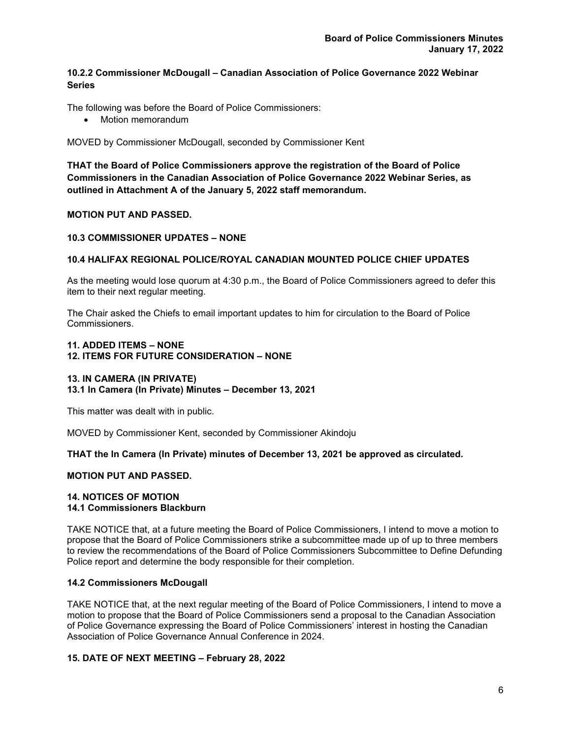# **10.2.2 Commissioner McDougall – Canadian Association of Police Governance 2022 Webinar Series**

The following was before the Board of Police Commissioners:

• Motion memorandum

MOVED by Commissioner McDougall, seconded by Commissioner Kent

**THAT the Board of Police Commissioners approve the registration of the Board of Police Commissioners in the Canadian Association of Police Governance 2022 Webinar Series, as outlined in Attachment A of the January 5, 2022 staff memorandum.**

## **MOTION PUT AND PASSED.**

## **10.3 COMMISSIONER UPDATES – NONE**

## **10.4 HALIFAX REGIONAL POLICE/ROYAL CANADIAN MOUNTED POLICE CHIEF UPDATES**

As the meeting would lose quorum at 4:30 p.m., the Board of Police Commissioners agreed to defer this item to their next regular meeting.

The Chair asked the Chiefs to email important updates to him for circulation to the Board of Police Commissioners.

#### **11. ADDED ITEMS – NONE 12. ITEMS FOR FUTURE CONSIDERATION – NONE**

#### **13. IN CAMERA (IN PRIVATE)**

#### **13.1 In Camera (In Private) Minutes – December 13, 2021**

This matter was dealt with in public.

MOVED by Commissioner Kent, seconded by Commissioner Akindoju

#### **THAT the In Camera (In Private) minutes of December 13, 2021 be approved as circulated.**

#### **MOTION PUT AND PASSED.**

#### **14. NOTICES OF MOTION 14.1 Commissioners Blackburn**

TAKE NOTICE that, at a future meeting the Board of Police Commissioners, I intend to move a motion to propose that the Board of Police Commissioners strike a subcommittee made up of up to three members to review the recommendations of the Board of Police Commissioners Subcommittee to Define Defunding Police report and determine the body responsible for their completion.

#### **14.2 Commissioners McDougall**

TAKE NOTICE that, at the next regular meeting of the Board of Police Commissioners, I intend to move a motion to propose that the Board of Police Commissioners send a proposal to the Canadian Association of Police Governance expressing the Board of Police Commissioners' interest in hosting the Canadian Association of Police Governance Annual Conference in 2024.

#### **15. DATE OF NEXT MEETING – February 28, 2022**